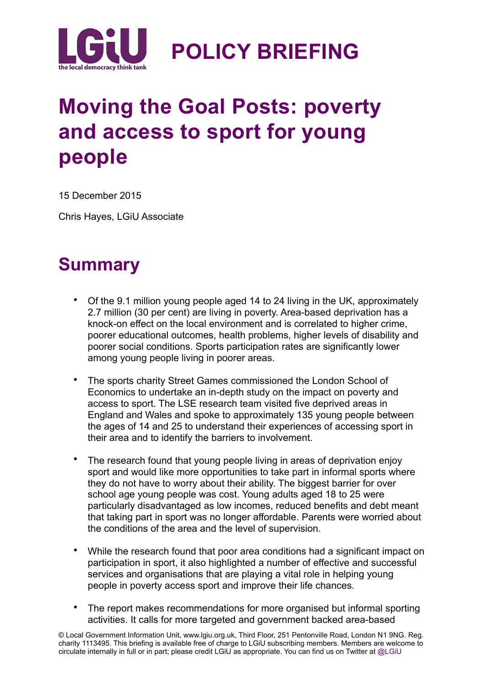

## **Moving the Goal Posts: poverty and access to sport for young people**

15 December 2015

Chris Hayes, LGiU Associate

### **Summary**

- Of the 9.1 million young people aged 14 to 24 living in the UK, approximately 2.7 million (30 per cent) are living in poverty. Area-based deprivation has a knock-on effect on the local environment and is correlated to higher crime, poorer educational outcomes, health problems, higher levels of disability and poorer social conditions. Sports participation rates are significantly lower among young people living in poorer areas.
- The sports charity Street Games commissioned the London School of Economics to undertake an in-depth study on the impact on poverty and access to sport. The LSE research team visited five deprived areas in England and Wales and spoke to approximately 135 young people between the ages of 14 and 25 to understand their experiences of accessing sport in their area and to identify the barriers to involvement.
- The research found that young people living in areas of deprivation enjoy sport and would like more opportunities to take part in informal sports where they do not have to worry about their ability. The biggest barrier for over school age young people was cost. Young adults aged 18 to 25 were particularly disadvantaged as low incomes, reduced benefits and debt meant that taking part in sport was no longer affordable. Parents were worried about the conditions of the area and the level of supervision.
- While the research found that poor area conditions had a significant impact on participation in sport, it also highlighted a number of effective and successful services and organisations that are playing a vital role in helping young people in poverty access sport and improve their life chances.
- The report makes recommendations for more organised but informal sporting activities. It calls for more targeted and government backed area-based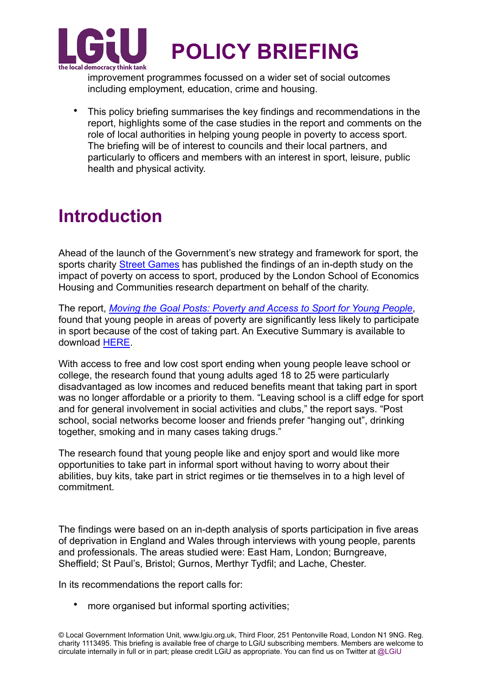

improvement programmes focussed on a wider set of social outcomes including employment, education, crime and housing.

• This policy briefing summarises the key findings and recommendations in the report, highlights some of the case studies in the report and comments on the role of local authorities in helping young people in poverty to access sport. The briefing will be of interest to councils and their local partners, and particularly to officers and members with an interest in sport, leisure, public health and physical activity.

### **Introduction**

Ahead of the launch of the Government's new strategy and framework for sport, the sports charity [Street Games](http://www.streetgames.org) has published the findings of an in-depth study on the impact of poverty on access to sport, produced by the London School of Economics Housing and Communities research department on behalf of the charity.

The report, *[Moving the Goal Posts: Poverty and Access to Sport for Young People](http://sticerd.lse.ac.uk/dps/case/cr/casereport95.pdf)*, found that young people in areas of poverty are significantly less likely to participate in sport because of the cost of taking part. An Executive Summary is available to download [HERE](http://sticerd.lse.ac.uk/dps/case/cr/casereport95_Executive_Summary.pdf).

With access to free and low cost sport ending when young people leave school or college, the research found that young adults aged 18 to 25 were particularly disadvantaged as low incomes and reduced benefits meant that taking part in sport was no longer affordable or a priority to them. "Leaving school is a cliff edge for sport and for general involvement in social activities and clubs," the report says. "Post school, social networks become looser and friends prefer "hanging out", drinking together, smoking and in many cases taking drugs."

The research found that young people like and enjoy sport and would like more opportunities to take part in informal sport without having to worry about their abilities, buy kits, take part in strict regimes or tie themselves in to a high level of commitment.

The findings were based on an in-depth analysis of sports participation in five areas of deprivation in England and Wales through interviews with young people, parents and professionals. The areas studied were: East Ham, London; Burngreave, Sheffield; St Paul's, Bristol; Gurnos, Merthyr Tydfil; and Lache, Chester.

In its recommendations the report calls for:

more organised but informal sporting activities;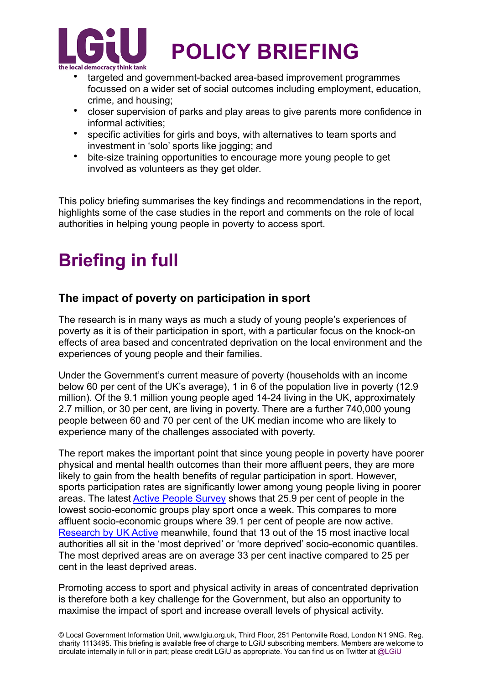

- targeted and government-backed area-based improvement programmes focussed on a wider set of social outcomes including employment, education, crime, and housing;
- closer supervision of parks and play areas to give parents more confidence in informal activities;
- specific activities for girls and boys, with alternatives to team sports and investment in 'solo' sports like jogging; and
- bite-size training opportunities to encourage more young people to get involved as volunteers as they get older.

This policy briefing summarises the key findings and recommendations in the report, highlights some of the case studies in the report and comments on the role of local authorities in helping young people in poverty to access sport.

### **Briefing in full**

#### **The impact of poverty on participation in sport**

The research is in many ways as much a study of young people's experiences of poverty as it is of their participation in sport, with a particular focus on the knock-on effects of area based and concentrated deprivation on the local environment and the experiences of young people and their families.

Under the Government's current measure of poverty (households with an income below 60 per cent of the UK's average), 1 in 6 of the population live in poverty (12.9 million). Of the 9.1 million young people aged 14-24 living in the UK, approximately 2.7 million, or 30 per cent, are living in poverty. There are a further 740,000 young people between 60 and 70 per cent of the UK median income who are likely to experience many of the challenges associated with poverty.

The report makes the important point that since young people in poverty have poorer physical and mental health outcomes than their more affluent peers, they are more likely to gain from the health benefits of regular participation in sport. However, sports participation rates are significantly lower among young people living in poorer areas. The latest [Active People Survey](http://www.sportengland.org/media-centre/news/2015/december/10/number-of-women-getting-active-goes-up-in-latest-sports-figures/) shows that 25.9 per cent of people in the lowest socio-economic groups play sport once a week. This compares to more affluent socio-economic groups where 39.1 per cent of people are now active. [Research by UK Active](http://www.ukactive.com/policy-insight/steps-to-solving-inactivity-report) meanwhile, found that 13 out of the 15 most inactive local authorities all sit in the 'most deprived' or 'more deprived' socio-economic quantiles. The most deprived areas are on average 33 per cent inactive compared to 25 per cent in the least deprived areas.

Promoting access to sport and physical activity in areas of concentrated deprivation is therefore both a key challenge for the Government, but also an opportunity to maximise the impact of sport and increase overall levels of physical activity.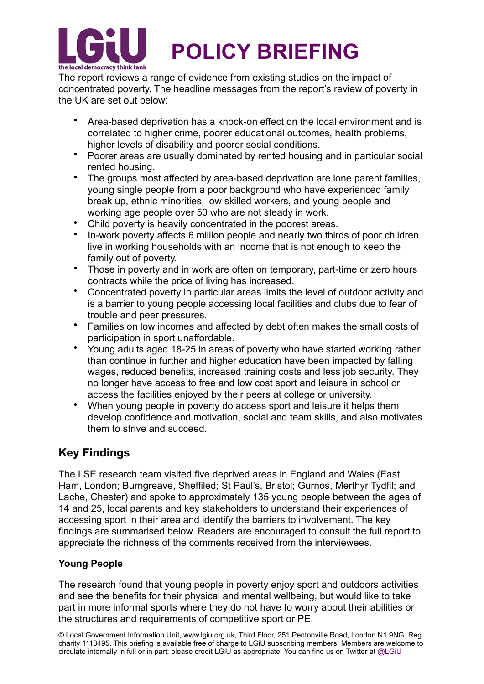

The report reviews a range of evidence from existing studies on the impact of concentrated poverty. The headline messages from the report's review of poverty in the UK are set out below:

- Area-based deprivation has a knock-on effect on the local environment and is correlated to higher crime, poorer educational outcomes, health problems, higher levels of disability and poorer social conditions.
- Poorer areas are usually dominated by rented housing and in particular social rented housing.
- The groups most affected by area-based deprivation are lone parent families, young single people from a poor background who have experienced family break up, ethnic minorities, low skilled workers, and young people and working age people over 50 who are not steady in work.
- Child poverty is heavily concentrated in the poorest areas.
- In-work poverty affects 6 million people and nearly two thirds of poor children live in working households with an income that is not enough to keep the family out of poverty.
- Those in poverty and in work are often on temporary, part-time or zero hours contracts while the price of living has increased.
- Concentrated poverty in particular areas limits the level of outdoor activity and is a barrier to young people accessing local facilities and clubs due to fear of trouble and peer pressures.
- Families on low incomes and affected by debt often makes the small costs of participation in sport unaffordable.
- Young adults aged 18-25 in areas of poverty who have started working rather than continue in further and higher education have been impacted by falling wages, reduced benefits, increased training costs and less job security. They no longer have access to free and low cost sport and leisure in school or access the facilities enjoyed by their peers at college or university.
- When young people in poverty do access sport and leisure it helps them develop confidence and motivation, social and team skills, and also motivates them to strive and succeed.

#### **Key Findings**

The LSE research team visited five deprived areas in England and Wales (East Ham, London; Burngreave, Sheffiled; St Paul's, Bristol; Gurnos, Merthyr Tydfil; and Lache, Chester) and spoke to approximately 135 young people between the ages of 14 and 25, local parents and key stakeholders to understand their experiences of accessing sport in their area and identify the barriers to involvement. The key findings are summarised below. Readers are encouraged to consult the full report to appreciate the richness of the comments received from the interviewees.

#### **Young People**

The research found that young people in poverty enjoy sport and outdoors activities and see the benefits for their physical and mental wellbeing, but would like to take part in more informal sports where they do not have to worry about their abilities or the structures and requirements of competitive sport or PE.

© Local Government Information Unit, www.lgiu.org.uk, Third Floor, 251 Pentonville Road, London N1 9NG. Reg. charity 1113495. This briefing is available free of charge to LGiU subscribing members. Members are welcome to circulate internally in full or in part; please credit LGiU as appropriate. You can find us on Twitter at @LGiU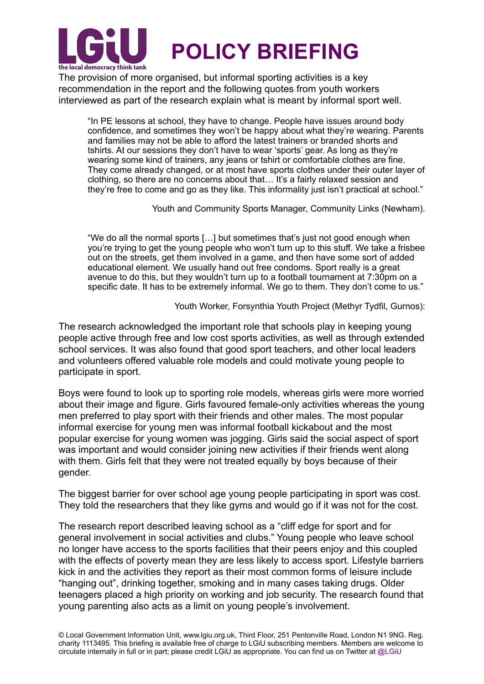

The provision of more organised, but informal sporting activities is a key recommendation in the report and the following quotes from youth workers interviewed as part of the research explain what is meant by informal sport well.

"In PE lessons at school, they have to change. People have issues around body confidence, and sometimes they won't be happy about what they're wearing. Parents and families may not be able to afford the latest trainers or branded shorts and tshirts. At our sessions they don't have to wear 'sports' gear. As long as they're wearing some kind of trainers, any jeans or tshirt or comfortable clothes are fine. They come already changed, or at most have sports clothes under their outer layer of clothing, so there are no concerns about that… It's a fairly relaxed session and they're free to come and go as they like. This informality just isn't practical at school."

Youth and Community Sports Manager, Community Links (Newham).

"We do all the normal sports […] but sometimes that's just not good enough when you're trying to get the young people who won't turn up to this stuff. We take a frisbee out on the streets, get them involved in a game, and then have some sort of added educational element. We usually hand out free condoms. Sport really is a great avenue to do this, but they wouldn't turn up to a football tournament at 7:30pm on a specific date. It has to be extremely informal. We go to them. They don't come to us."

Youth Worker, Forsynthia Youth Project (Methyr Tydfil, Gurnos):

The research acknowledged the important role that schools play in keeping young people active through free and low cost sports activities, as well as through extended school services. It was also found that good sport teachers, and other local leaders and volunteers offered valuable role models and could motivate young people to participate in sport.

Boys were found to look up to sporting role models, whereas girls were more worried about their image and figure. Girls favoured female-only activities whereas the young men preferred to play sport with their friends and other males. The most popular informal exercise for young men was informal football kickabout and the most popular exercise for young women was jogging. Girls said the social aspect of sport was important and would consider joining new activities if their friends went along with them. Girls felt that they were not treated equally by boys because of their gender.

The biggest barrier for over school age young people participating in sport was cost. They told the researchers that they like gyms and would go if it was not for the cost.

The research report described leaving school as a "cliff edge for sport and for general involvement in social activities and clubs." Young people who leave school no longer have access to the sports facilities that their peers enjoy and this coupled with the effects of poverty mean they are less likely to access sport. Lifestyle barriers kick in and the activities they report as their most common forms of leisure include "hanging out", drinking together, smoking and in many cases taking drugs. Older teenagers placed a high priority on working and job security. The research found that young parenting also acts as a limit on young people's involvement.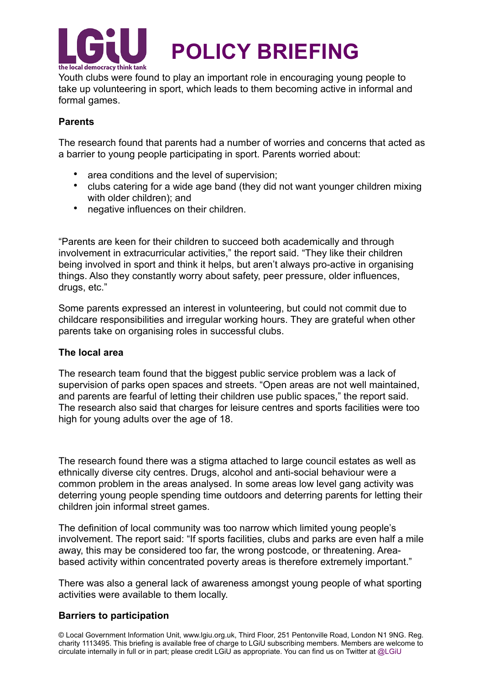

Youth clubs were found to play an important role in encouraging young people to take up volunteering in sport, which leads to them becoming active in informal and formal games.

#### **Parents**

The research found that parents had a number of worries and concerns that acted as a barrier to young people participating in sport. Parents worried about:

- area conditions and the level of supervision:
- clubs catering for a wide age band (they did not want younger children mixing with older children); and
- negative influences on their children.

"Parents are keen for their children to succeed both academically and through involvement in extracurricular activities," the report said. "They like their children being involved in sport and think it helps, but aren't always pro-active in organising things. Also they constantly worry about safety, peer pressure, older influences, drugs, etc."

Some parents expressed an interest in volunteering, but could not commit due to childcare responsibilities and irregular working hours. They are grateful when other parents take on organising roles in successful clubs.

#### **The local area**

The research team found that the biggest public service problem was a lack of supervision of parks open spaces and streets. "Open areas are not well maintained, and parents are fearful of letting their children use public spaces," the report said. The research also said that charges for leisure centres and sports facilities were too high for young adults over the age of 18.

The research found there was a stigma attached to large council estates as well as ethnically diverse city centres. Drugs, alcohol and anti-social behaviour were a common problem in the areas analysed. In some areas low level gang activity was deterring young people spending time outdoors and deterring parents for letting their children join informal street games.

The definition of local community was too narrow which limited young people's involvement. The report said: "If sports facilities, clubs and parks are even half a mile away, this may be considered too far, the wrong postcode, or threatening. Areabased activity within concentrated poverty areas is therefore extremely important."

There was also a general lack of awareness amongst young people of what sporting activities were available to them locally.

#### **Barriers to participation**

© Local Government Information Unit, www.lgiu.org.uk, Third Floor, 251 Pentonville Road, London N1 9NG. Reg. charity 1113495. This briefing is available free of charge to LGiU subscribing members. Members are welcome to circulate internally in full or in part; please credit LGiU as appropriate. You can find us on Twitter at @LGiU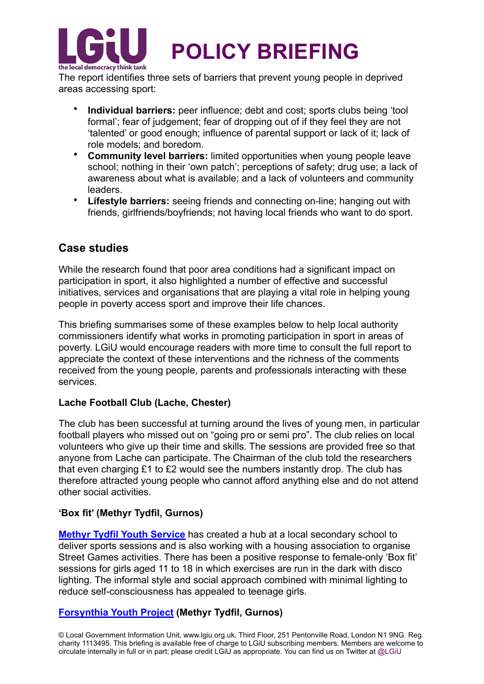

The report identifies three sets of barriers that prevent young people in deprived areas accessing sport:

- **Individual barriers:** peer influence; debt and cost; sports clubs being 'tool formal'; fear of judgement; fear of dropping out of if they feel they are not 'talented' or good enough; influence of parental support or lack of it; lack of role models; and boredom.
- **Community level barriers:** limited opportunities when young people leave school; nothing in their 'own patch'; perceptions of safety; drug use; a lack of awareness about what is available; and a lack of volunteers and community leaders.
- **Lifestyle barriers:** seeing friends and connecting on-line; hanging out with friends, girlfriends/boyfriends; not having local friends who want to do sport.

#### **Case studies**

While the research found that poor area conditions had a significant impact on participation in sport, it also highlighted a number of effective and successful initiatives, services and organisations that are playing a vital role in helping young people in poverty access sport and improve their life chances.

This briefing summarises some of these examples below to help local authority commissioners identify what works in promoting participation in sport in areas of poverty. LGiU would encourage readers with more time to consult the full report to appreciate the context of these interventions and the richness of the comments received from the young people, parents and professionals interacting with these services.

#### **Lache Football Club (Lache, Chester)**

The club has been successful at turning around the lives of young men, in particular football players who missed out on "going pro or semi pro". The club relies on local volunteers who give up their time and skills. The sessions are provided free so that anyone from Lache can participate. The Chairman of the club told the researchers that even charging £1 to £2 would see the numbers instantly drop. The club has therefore attracted young people who cannot afford anything else and do not attend other social activities.

#### **'Box fit' (Methyr Tydfil, Gurnos)**

**[Methyr Tydfil Youth Service](http://www.merthyr.gov.uk/resident/children-families/young-people-information-and-advice/)** has created a hub at a local secondary school to deliver sports sessions and is also working with a housing association to organise Street Games activities. There has been a positive response to female-only 'Box fit' sessions for girls aged 11 to 18 in which exercises are run in the dark with disco lighting. The informal style and social approach combined with minimal lighting to reduce self-consciousness has appealed to teenage girls.

#### **[Forsynthia Youth Project](http://www.philiplawrenceawards.net/projects/forsythia-youth-project/) (Methyr Tydfil, Gurnos)**

© Local Government Information Unit, www.lgiu.org.uk, Third Floor, 251 Pentonville Road, London N1 9NG. Reg. charity 1113495. This briefing is available free of charge to LGiU subscribing members. Members are welcome to circulate internally in full or in part; please credit LGiU as appropriate. You can find us on Twitter at @LGiU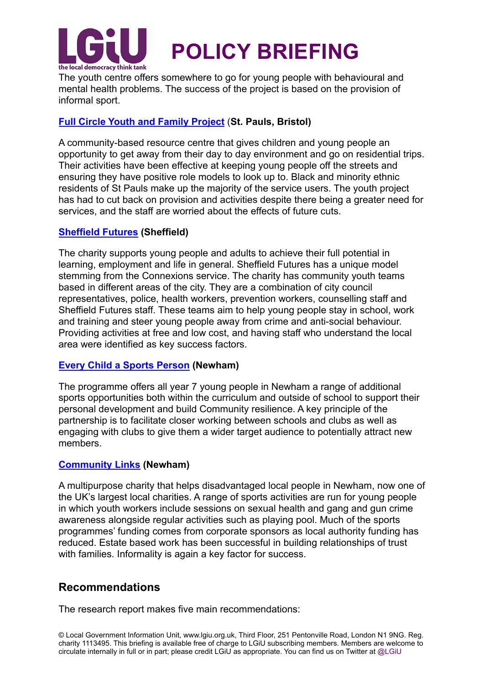

The youth centre offers somewhere to go for young people with behavioural and mental health problems. The success of the project is based on the provision of informal sport.

#### **[Full Circle Youth and Family Project](http://fullcircleproject.org.uk/)** (**St. Pauls, Bristol)**

A community-based resource centre that gives children and young people an opportunity to get away from their day to day environment and go on residential trips. Their activities have been effective at keeping young people off the streets and ensuring they have positive role models to look up to. Black and minority ethnic residents of St Pauls make up the majority of the service users. The youth project has had to cut back on provision and activities despite there being a greater need for services, and the staff are worried about the effects of future cuts.

#### **[Sheffield Futures](http://www.sheffieldfutures.org.uk/) (Sheffield)**

The charity supports young people and adults to achieve their full potential in learning, employment and life in general. Sheffield Futures has a unique model stemming from the Connexions service. The charity has community youth teams based in different areas of the city. They are a combination of city council representatives, police, health workers, prevention workers, counselling staff and Sheffield Futures staff. These teams aim to help young people stay in school, work and training and steer young people away from crime and anti-social behaviour. Providing activities at free and low cost, and having staff who understand the local area were identified as key success factors.

#### **[Every Child a Sports Person](http://www.activenewham.org.uk/newhams_every_child_a_sports_person) (Newham)**

The programme offers all year 7 young people in Newham a range of additional sports opportunities both within the curriculum and outside of school to support their personal development and build Community resilience. A key principle of the partnership is to facilitate closer working between schools and clubs as well as engaging with clubs to give them a wider target audience to potentially attract new members.

#### **[Community Links](http://www.community-links.org/) (Newham)**

A multipurpose charity that helps disadvantaged local people in Newham, now one of the UK's largest local charities. A range of sports activities are run for young people in which youth workers include sessions on sexual health and gang and gun crime awareness alongside regular activities such as playing pool. Much of the sports programmes' funding comes from corporate sponsors as local authority funding has reduced. Estate based work has been successful in building relationships of trust with families. Informality is again a key factor for success.

#### **Recommendations**

The research report makes five main recommendations: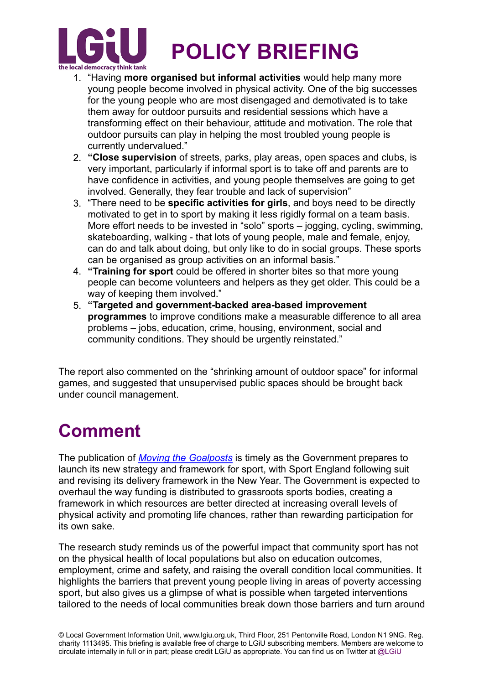

- 1. "Having **more organised but informal activities** would help many more young people become involved in physical activity. One of the big successes for the young people who are most disengaged and demotivated is to take them away for outdoor pursuits and residential sessions which have a transforming effect on their behaviour, attitude and motivation. The role that outdoor pursuits can play in helping the most troubled young people is currently undervalued."
- 2. **"Close supervision** of streets, parks, play areas, open spaces and clubs, is very important, particularly if informal sport is to take off and parents are to have confidence in activities, and young people themselves are going to get involved. Generally, they fear trouble and lack of supervision"
- 3. "There need to be **specific activities for girls**, and boys need to be directly motivated to get in to sport by making it less rigidly formal on a team basis. More effort needs to be invested in "solo" sports – jogging, cycling, swimming, skateboarding, walking - that lots of young people, male and female, enjoy, can do and talk about doing, but only like to do in social groups. These sports can be organised as group activities on an informal basis."
- 4. **"Training for sport** could be offered in shorter bites so that more young people can become volunteers and helpers as they get older. This could be a way of keeping them involved."
- 5. **"Targeted and government-backed area-based improvement programmes** to improve conditions make a measurable difference to all area problems – jobs, education, crime, housing, environment, social and community conditions. They should be urgently reinstated."

The report also commented on the "shrinking amount of outdoor space" for informal games, and suggested that unsupervised public spaces should be brought back under council management.

## **Comment**

The publication of *[Moving the Goalposts](http://sticerd.lse.ac.uk/dps/case/cr/casereport95.pdf)* is timely as the Government prepares to launch its new strategy and framework for sport, with Sport England following suit and revising its delivery framework in the New Year. The Government is expected to overhaul the way funding is distributed to grassroots sports bodies, creating a framework in which resources are better directed at increasing overall levels of physical activity and promoting life chances, rather than rewarding participation for its own sake.

The research study reminds us of the powerful impact that community sport has not on the physical health of local populations but also on education outcomes, employment, crime and safety, and raising the overall condition local communities. It highlights the barriers that prevent young people living in areas of poverty accessing sport, but also gives us a glimpse of what is possible when targeted interventions tailored to the needs of local communities break down those barriers and turn around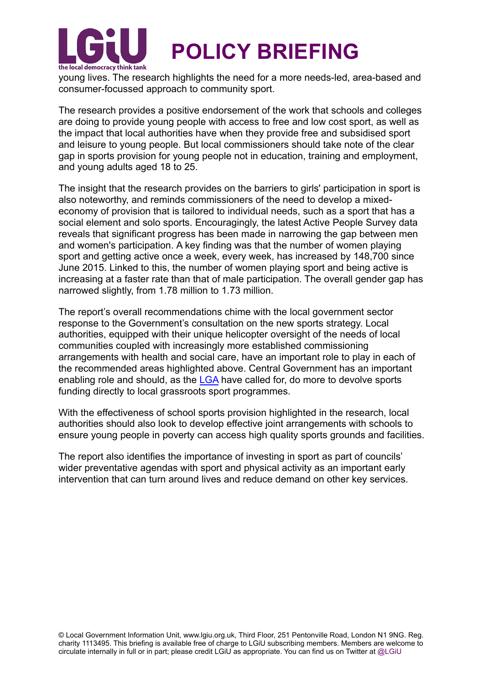

young lives. The research highlights the need for a more needs-led, area-based and consumer-focussed approach to community sport.

The research provides a positive endorsement of the work that schools and colleges are doing to provide young people with access to free and low cost sport, as well as the impact that local authorities have when they provide free and subsidised sport and leisure to young people. But local commissioners should take note of the clear gap in sports provision for young people not in education, training and employment, and young adults aged 18 to 25.

The insight that the research provides on the barriers to girls' participation in sport is also noteworthy, and reminds commissioners of the need to develop a mixedeconomy of provision that is tailored to individual needs, such as a sport that has a social element and solo sports. Encouragingly, the latest Active People Survey data reveals that significant progress has been made in narrowing the gap between men and women's participation. A key finding was that the number of women playing sport and getting active once a week, every week, has increased by 148,700 since June 2015. Linked to this, the number of women playing sport and being active is increasing at a faster rate than that of male participation. The overall gender gap has narrowed slightly, from 1.78 million to 1.73 million.

The report's overall recommendations chime with the local government sector response to the Government's consultation on the new sports strategy. Local authorities, equipped with their unique helicopter oversight of the needs of local communities coupled with increasingly more established commissioning arrangements with health and social care, have an important role to play in each of the recommended areas highlighted above. Central Government has an important enabling role and should, as the [LGA](http://www.local.gov.uk/web/guest/culture-tourism-and-sport/-/journal_content/56/10180/7514840/ARTICLE) have called for, do more to devolve sports funding directly to local grassroots sport programmes.

With the effectiveness of school sports provision highlighted in the research, local authorities should also look to develop effective joint arrangements with schools to ensure young people in poverty can access high quality sports grounds and facilities.

The report also identifies the importance of investing in sport as part of councils' wider preventative agendas with sport and physical activity as an important early intervention that can turn around lives and reduce demand on other key services.